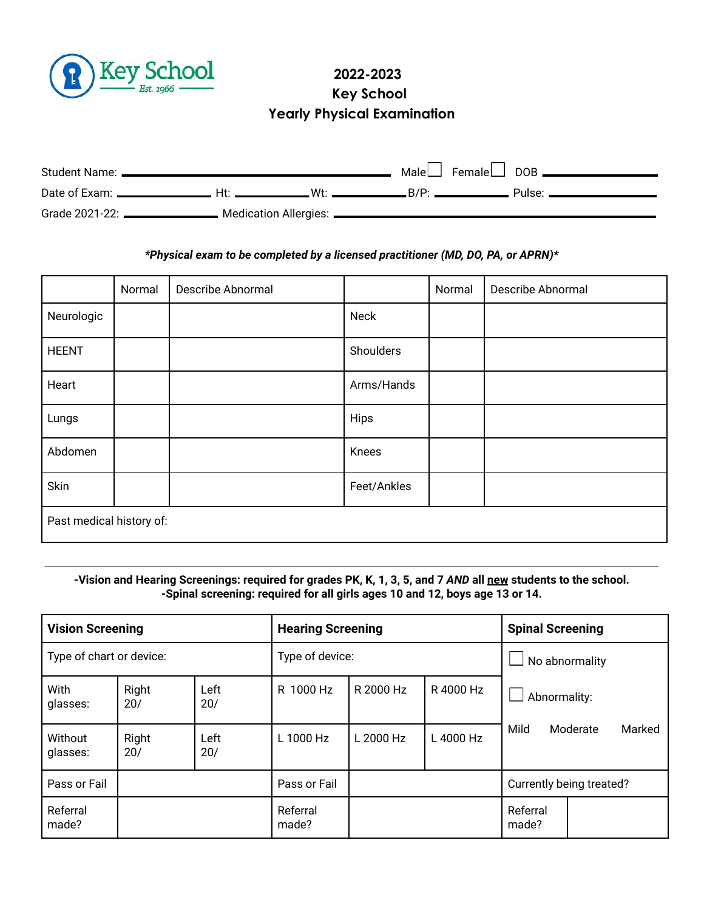

# **2022-2023 Key School Yearly Physical Examination**

| Student Name: ____                                         |     | Male $\Box$ Female $\Box$ DOB $\Box$ |          |
|------------------------------------------------------------|-----|--------------------------------------|----------|
| Date of Exam: _______________                              | Ht. |                                      | Pulse: — |
| Grade 2021-22: ___________________ Medication Allergies: _ |     |                                      |          |

### *\*Physical exam to be completed by a licensed practitioner (MD, DO, PA, or APRN)\**

|                          | Normal | Describe Abnormal |             | Normal | Describe Abnormal |
|--------------------------|--------|-------------------|-------------|--------|-------------------|
| Neurologic               |        |                   | <b>Neck</b> |        |                   |
| <b>HEENT</b>             |        |                   | Shoulders   |        |                   |
| Heart                    |        |                   | Arms/Hands  |        |                   |
| Lungs                    |        |                   | Hips        |        |                   |
| Abdomen                  |        |                   | Knees       |        |                   |
| Skin                     |        |                   | Feet/Ankles |        |                   |
| Past medical history of: |        |                   |             |        |                   |

# -Vision and Hearing Screenings: required for grades PK, K, 1, 3, 5, and 7 AND all new students to the school. **-Spinal screening: required for all girls ages 10 and 12, boys age 13 or 14.**

| <b>Vision Screening</b>  |              | <b>Hearing Screening</b> |                   | <b>Spinal Screening</b> |                |                                            |  |  |
|--------------------------|--------------|--------------------------|-------------------|-------------------------|----------------|--------------------------------------------|--|--|
| Type of chart or device: |              | Type of device:          |                   |                         | No abnormality |                                            |  |  |
| With<br>glasses:         | Right<br>20/ | Left<br>20/              | R 1000 Hz         | R 2000 Hz               | R 4000 Hz      | Abnormality:<br>Mild<br>Marked<br>Moderate |  |  |
| Without<br>glasses:      | Right<br>20/ | Left<br>20/              | L 1000 Hz         | L 2000 Hz               | L 4000 Hz      |                                            |  |  |
| Pass or Fail             |              |                          | Pass or Fail      |                         |                | Currently being treated?                   |  |  |
| Referral<br>made?        |              |                          | Referral<br>made? |                         |                | Referral<br>made?                          |  |  |